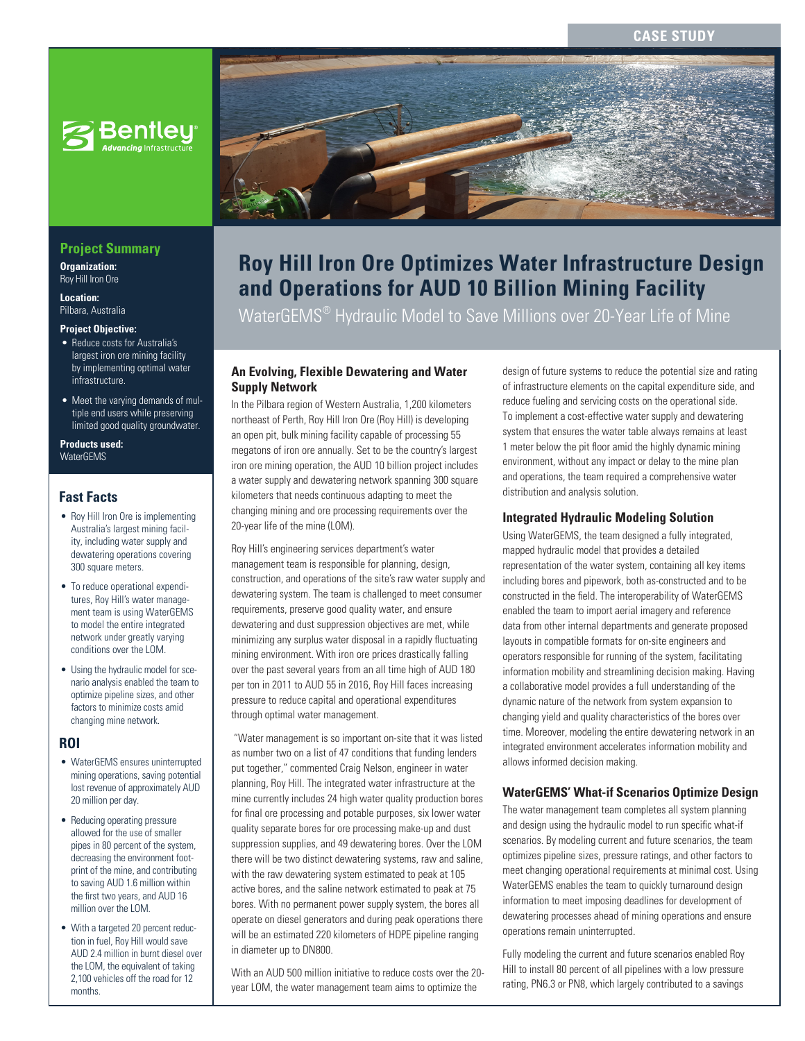## **CASE STUD**



# **Project Summary**

**Organization:**  Roy Hill Iron Ore

**Location:**  Pilbara, Australia

#### **Project Objective:**

- Reduce costs for Australia's largest iron ore mining facility by implementing optimal water infrastructure.
- Meet the varying demands of multiple end users while preserving limited good quality groundwater.

**Products used: WaterGEMS** 

### **Fast Facts**

- Roy Hill Iron Ore is implementing Australia's largest mining facility, including water supply and dewatering operations covering 300 square meters.
- To reduce operational expenditures, Roy Hill's water management team is using WaterGEMS to model the entire integrated network under greatly varying conditions over the LOM.
- Using the hydraulic model for scenario analysis enabled the team to optimize pipeline sizes, and other factors to minimize costs amid changing mine network.

#### **ROI**

- WaterGEMS ensures uninterrupted mining operations, saving potential lost revenue of approximately AUD 20 million per day.
- Reducing operating pressure allowed for the use of smaller pipes in 80 percent of the system, decreasing the environment footprint of the mine, and contributing to saving AUD 1.6 million within the first two years, and AUD 16 million over the LOM.
- With a targeted 20 percent reduction in fuel, Roy Hill would save AUD 2.4 million in burnt diesel over the LOM, the equivalent of taking 2,100 vehicles off the road for 12 months.



# **Roy Hill Iron Ore Optimizes Water Infrastructure Design and Operations for AUD 10 Billion Mining Facility**

WaterGEMS® Hydraulic Model to Save Millions over 20-Year Life of Mine

#### **An Evolving, Flexible Dewatering and Water Supply Network**

In the Pilbara region of Western Australia, 1,200 kilometers northeast of Perth, Roy Hill Iron Ore (Roy Hill) is developing an open pit, bulk mining facility capable of processing 55 megatons of iron ore annually. Set to be the country's largest iron ore mining operation, the AUD 10 billion project includes a water supply and dewatering network spanning 300 square kilometers that needs continuous adapting to meet the changing mining and ore processing requirements over the 20-year life of the mine (LOM).

Roy Hill's engineering services department's water management team is responsible for planning, design, construction, and operations of the site's raw water supply and dewatering system. The team is challenged to meet consumer requirements, preserve good quality water, and ensure dewatering and dust suppression objectives are met, while minimizing any surplus water disposal in a rapidly fluctuating mining environment. With iron ore prices drastically falling over the past several years from an all time high of AUD 180 per ton in 2011 to AUD 55 in 2016, Roy Hill faces increasing pressure to reduce capital and operational expenditures through optimal water management.

 "Water management is so important on-site that it was listed as number two on a list of 47 conditions that funding lenders put together," commented Craig Nelson, engineer in water planning, Roy Hill. The integrated water infrastructure at the mine currently includes 24 high water quality production bores for final ore processing and potable purposes, six lower water quality separate bores for ore processing make-up and dust suppression supplies, and 49 dewatering bores. Over the LOM there will be two distinct dewatering systems, raw and saline, with the raw dewatering system estimated to peak at 105 active bores, and the saline network estimated to peak at 75 bores. With no permanent power supply system, the bores all operate on diesel generators and during peak operations there will be an estimated 220 kilometers of HDPE pipeline ranging in diameter up to DN800.

With an AUD 500 million initiative to reduce costs over the 20 year LOM, the water management team aims to optimize the

design of future systems to reduce the potential size and rating of infrastructure elements on the capital expenditure side, and reduce fueling and servicing costs on the operational side. To implement a cost-effective water supply and dewatering system that ensures the water table always remains at least 1 meter below the pit floor amid the highly dynamic mining environment, without any impact or delay to the mine plan and operations, the team required a comprehensive water distribution and analysis solution.

#### **Integrated Hydraulic Modeling Solution**

Using WaterGEMS, the team designed a fully integrated, mapped hydraulic model that provides a detailed representation of the water system, containing all key items including bores and pipework, both as-constructed and to be constructed in the field. The interoperability of WaterGEMS enabled the team to import aerial imagery and reference data from other internal departments and generate proposed layouts in compatible formats for on-site engineers and operators responsible for running of the system, facilitating information mobility and streamlining decision making. Having a collaborative model provides a full understanding of the dynamic nature of the network from system expansion to changing yield and quality characteristics of the bores over time. Moreover, modeling the entire dewatering network in an integrated environment accelerates information mobility and allows informed decision making.

## **WaterGEMS' What-if Scenarios Optimize Design**

The water management team completes all system planning and design using the hydraulic model to run specific what-if scenarios. By modeling current and future scenarios, the team optimizes pipeline sizes, pressure ratings, and other factors to meet changing operational requirements at minimal cost. Using WaterGEMS enables the team to quickly turnaround design information to meet imposing deadlines for development of dewatering processes ahead of mining operations and ensure operations remain uninterrupted.

Fully modeling the current and future scenarios enabled Roy Hill to install 80 percent of all pipelines with a low pressure rating, PN6.3 or PN8, which largely contributed to a savings